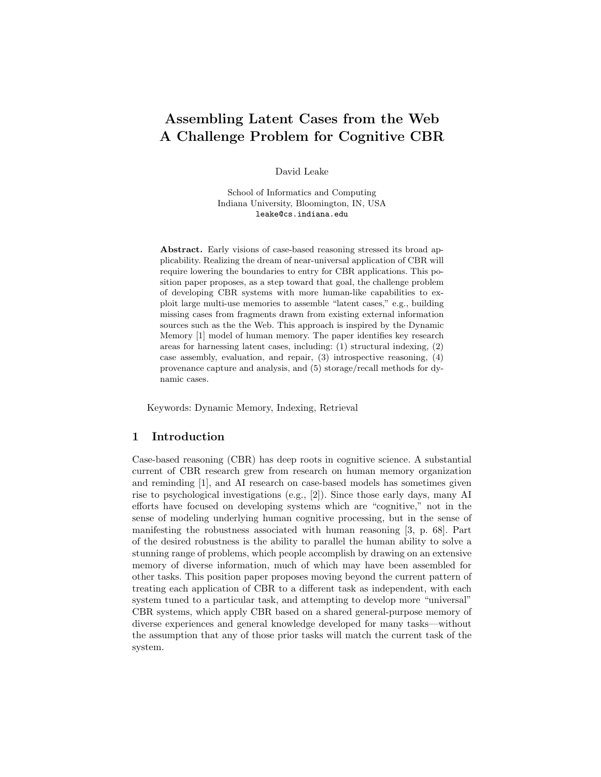# Assembling Latent Cases from the Web A Challenge Problem for Cognitive CBR

David Leake

School of Informatics and Computing Indiana University, Bloomington, IN, USA leake@cs.indiana.edu

Abstract. Early visions of case-based reasoning stressed its broad applicability. Realizing the dream of near-universal application of CBR will require lowering the boundaries to entry for CBR applications. This position paper proposes, as a step toward that goal, the challenge problem of developing CBR systems with more human-like capabilities to exploit large multi-use memories to assemble "latent cases," e.g., building missing cases from fragments drawn from existing external information sources such as the the Web. This approach is inspired by the Dynamic Memory [1] model of human memory. The paper identifies key research areas for harnessing latent cases, including: (1) structural indexing, (2) case assembly, evaluation, and repair, (3) introspective reasoning, (4) provenance capture and analysis, and (5) storage/recall methods for dynamic cases.

Keywords: Dynamic Memory, Indexing, Retrieval

#### 1 Introduction

Case-based reasoning (CBR) has deep roots in cognitive science. A substantial current of CBR research grew from research on human memory organization and reminding [1], and AI research on case-based models has sometimes given rise to psychological investigations (e.g., [2]). Since those early days, many AI efforts have focused on developing systems which are "cognitive," not in the sense of modeling underlying human cognitive processing, but in the sense of manifesting the robustness associated with human reasoning [3, p. 68]. Part of the desired robustness is the ability to parallel the human ability to solve a stunning range of problems, which people accomplish by drawing on an extensive memory of diverse information, much of which may have been assembled for other tasks. This position paper proposes moving beyond the current pattern of treating each application of CBR to a different task as independent, with each system tuned to a particular task, and attempting to develop more "universal" CBR systems, which apply CBR based on a shared general-purpose memory of diverse experiences and general knowledge developed for many tasks—without the assumption that any of those prior tasks will match the current task of the system.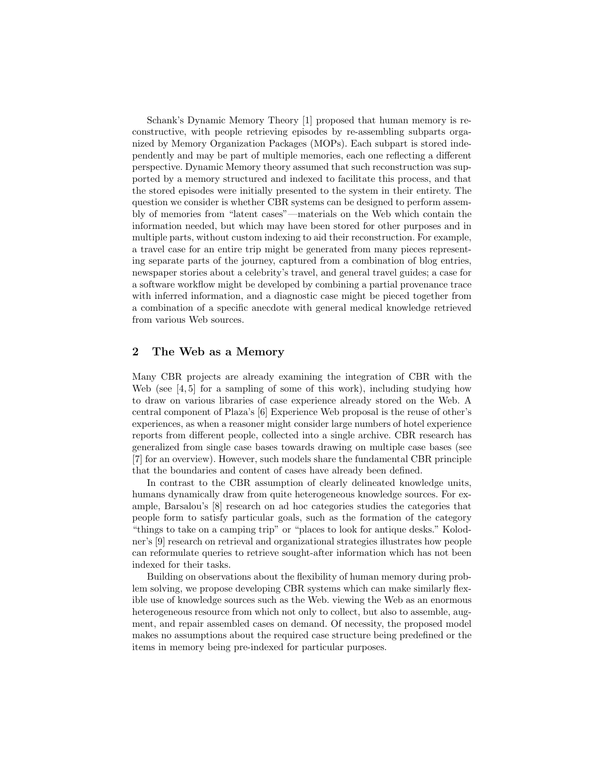Schank's Dynamic Memory Theory [1] proposed that human memory is reconstructive, with people retrieving episodes by re-assembling subparts organized by Memory Organization Packages (MOPs). Each subpart is stored independently and may be part of multiple memories, each one reflecting a different perspective. Dynamic Memory theory assumed that such reconstruction was supported by a memory structured and indexed to facilitate this process, and that the stored episodes were initially presented to the system in their entirety. The question we consider is whether CBR systems can be designed to perform assembly of memories from "latent cases"—materials on the Web which contain the information needed, but which may have been stored for other purposes and in multiple parts, without custom indexing to aid their reconstruction. For example, a travel case for an entire trip might be generated from many pieces representing separate parts of the journey, captured from a combination of blog entries, newspaper stories about a celebrity's travel, and general travel guides; a case for a software workflow might be developed by combining a partial provenance trace with inferred information, and a diagnostic case might be pieced together from a combination of a specific anecdote with general medical knowledge retrieved from various Web sources.

#### 2 The Web as a Memory

Many CBR projects are already examining the integration of CBR with the Web (see [4, 5] for a sampling of some of this work), including studying how to draw on various libraries of case experience already stored on the Web. A central component of Plaza's [6] Experience Web proposal is the reuse of other's experiences, as when a reasoner might consider large numbers of hotel experience reports from different people, collected into a single archive. CBR research has generalized from single case bases towards drawing on multiple case bases (see [7] for an overview). However, such models share the fundamental CBR principle that the boundaries and content of cases have already been defined.

In contrast to the CBR assumption of clearly delineated knowledge units, humans dynamically draw from quite heterogeneous knowledge sources. For example, Barsalou's [8] research on ad hoc categories studies the categories that people form to satisfy particular goals, such as the formation of the category "things to take on a camping trip" or "places to look for antique desks." Kolodner's [9] research on retrieval and organizational strategies illustrates how people can reformulate queries to retrieve sought-after information which has not been indexed for their tasks.

Building on observations about the flexibility of human memory during problem solving, we propose developing CBR systems which can make similarly flexible use of knowledge sources such as the Web. viewing the Web as an enormous heterogeneous resource from which not only to collect, but also to assemble, augment, and repair assembled cases on demand. Of necessity, the proposed model makes no assumptions about the required case structure being predefined or the items in memory being pre-indexed for particular purposes.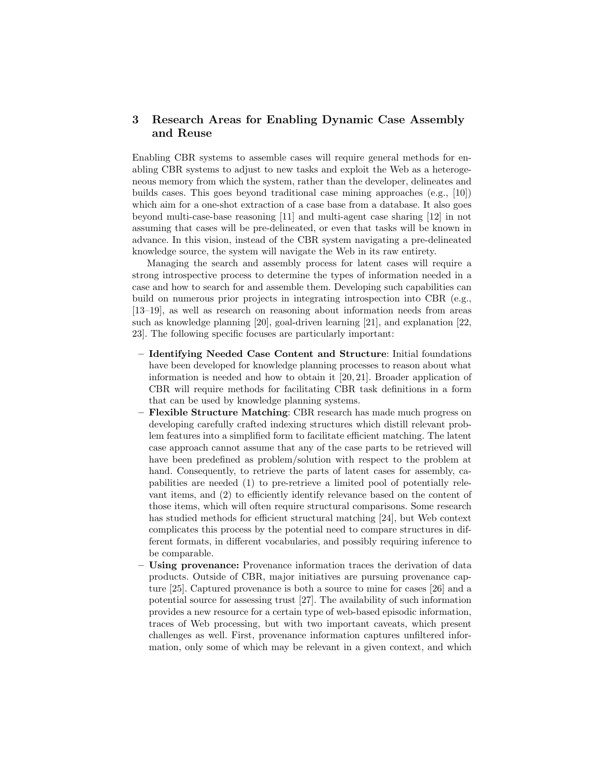# 3 Research Areas for Enabling Dynamic Case Assembly and Reuse

Enabling CBR systems to assemble cases will require general methods for enabling CBR systems to adjust to new tasks and exploit the Web as a heterogeneous memory from which the system, rather than the developer, delineates and builds cases. This goes beyond traditional case mining approaches (e.g., [10]) which aim for a one-shot extraction of a case base from a database. It also goes beyond multi-case-base reasoning [11] and multi-agent case sharing [12] in not assuming that cases will be pre-delineated, or even that tasks will be known in advance. In this vision, instead of the CBR system navigating a pre-delineated knowledge source, the system will navigate the Web in its raw entirety.

Managing the search and assembly process for latent cases will require a strong introspective process to determine the types of information needed in a case and how to search for and assemble them. Developing such capabilities can build on numerous prior projects in integrating introspection into CBR (e.g., [13–19], as well as research on reasoning about information needs from areas such as knowledge planning [20], goal-driven learning [21], and explanation [22, 23]. The following specific focuses are particularly important:

- Identifying Needed Case Content and Structure: Initial foundations have been developed for knowledge planning processes to reason about what information is needed and how to obtain it [20, 21]. Broader application of CBR will require methods for facilitating CBR task definitions in a form that can be used by knowledge planning systems.
- Flexible Structure Matching: CBR research has made much progress on developing carefully crafted indexing structures which distill relevant problem features into a simplified form to facilitate efficient matching. The latent case approach cannot assume that any of the case parts to be retrieved will have been predefined as problem/solution with respect to the problem at hand. Consequently, to retrieve the parts of latent cases for assembly, capabilities are needed (1) to pre-retrieve a limited pool of potentially relevant items, and (2) to efficiently identify relevance based on the content of those items, which will often require structural comparisons. Some research has studied methods for efficient structural matching [24], but Web context complicates this process by the potential need to compare structures in different formats, in different vocabularies, and possibly requiring inference to be comparable.
- Using provenance: Provenance information traces the derivation of data products. Outside of CBR, major initiatives are pursuing provenance capture [25]. Captured provenance is both a source to mine for cases [26] and a potential source for assessing trust [27]. The availability of such information provides a new resource for a certain type of web-based episodic information, traces of Web processing, but with two important caveats, which present challenges as well. First, provenance information captures unfiltered information, only some of which may be relevant in a given context, and which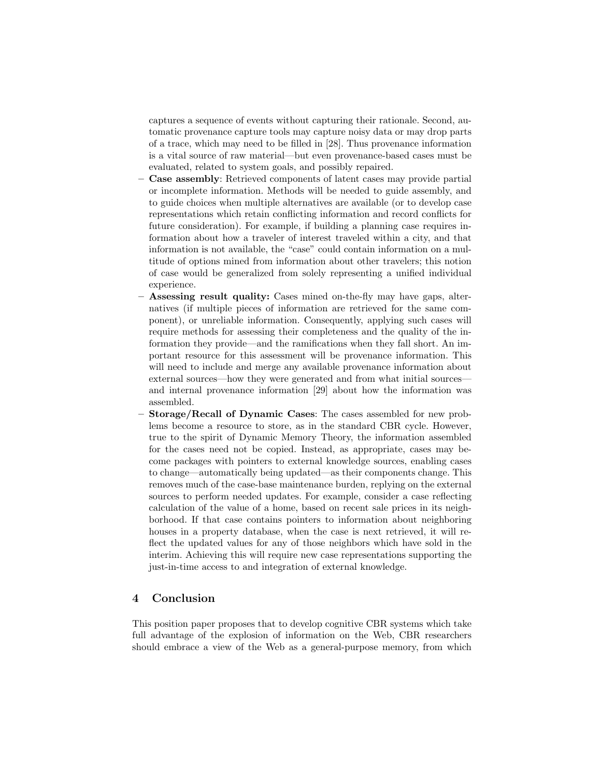captures a sequence of events without capturing their rationale. Second, automatic provenance capture tools may capture noisy data or may drop parts of a trace, which may need to be filled in [28]. Thus provenance information is a vital source of raw material—but even provenance-based cases must be evaluated, related to system goals, and possibly repaired.

- Case assembly: Retrieved components of latent cases may provide partial or incomplete information. Methods will be needed to guide assembly, and to guide choices when multiple alternatives are available (or to develop case representations which retain conflicting information and record conflicts for future consideration). For example, if building a planning case requires information about how a traveler of interest traveled within a city, and that information is not available, the "case" could contain information on a multitude of options mined from information about other travelers; this notion of case would be generalized from solely representing a unified individual experience.
- Assessing result quality: Cases mined on-the-fly may have gaps, alternatives (if multiple pieces of information are retrieved for the same component), or unreliable information. Consequently, applying such cases will require methods for assessing their completeness and the quality of the information they provide—and the ramifications when they fall short. An important resource for this assessment will be provenance information. This will need to include and merge any available provenance information about external sources—how they were generated and from what initial sources and internal provenance information [29] about how the information was assembled.
- Storage/Recall of Dynamic Cases: The cases assembled for new problems become a resource to store, as in the standard CBR cycle. However, true to the spirit of Dynamic Memory Theory, the information assembled for the cases need not be copied. Instead, as appropriate, cases may become packages with pointers to external knowledge sources, enabling cases to change—automatically being updated—as their components change. This removes much of the case-base maintenance burden, replying on the external sources to perform needed updates. For example, consider a case reflecting calculation of the value of a home, based on recent sale prices in its neighborhood. If that case contains pointers to information about neighboring houses in a property database, when the case is next retrieved, it will reflect the updated values for any of those neighbors which have sold in the interim. Achieving this will require new case representations supporting the just-in-time access to and integration of external knowledge.

## 4 Conclusion

This position paper proposes that to develop cognitive CBR systems which take full advantage of the explosion of information on the Web, CBR researchers should embrace a view of the Web as a general-purpose memory, from which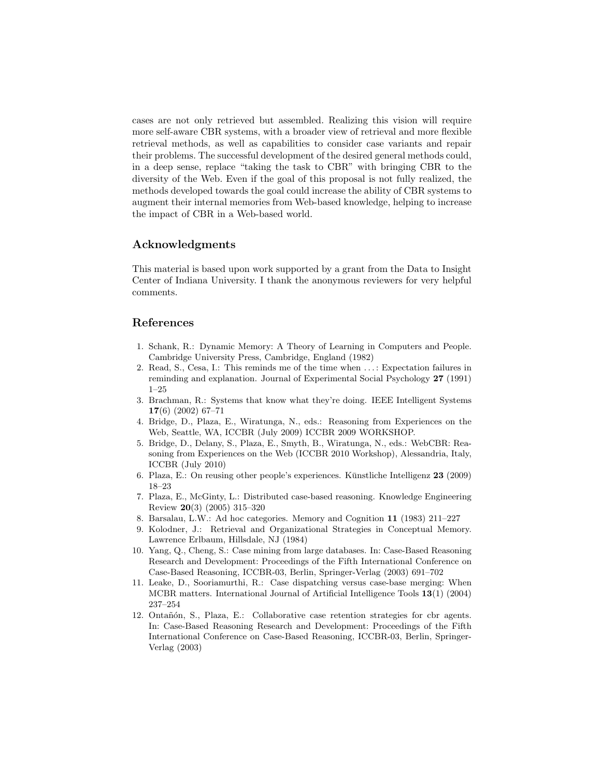cases are not only retrieved but assembled. Realizing this vision will require more self-aware CBR systems, with a broader view of retrieval and more flexible retrieval methods, as well as capabilities to consider case variants and repair their problems. The successful development of the desired general methods could, in a deep sense, replace "taking the task to CBR" with bringing CBR to the diversity of the Web. Even if the goal of this proposal is not fully realized, the methods developed towards the goal could increase the ability of CBR systems to augment their internal memories from Web-based knowledge, helping to increase the impact of CBR in a Web-based world.

## Acknowledgments

This material is based upon work supported by a grant from the Data to Insight Center of Indiana University. I thank the anonymous reviewers for very helpful comments.

## References

- 1. Schank, R.: Dynamic Memory: A Theory of Learning in Computers and People. Cambridge University Press, Cambridge, England (1982)
- 2. Read, S., Cesa, I.: This reminds me of the time when . . . : Expectation failures in reminding and explanation. Journal of Experimental Social Psychology 27 (1991) 1–25
- 3. Brachman, R.: Systems that know what they're doing. IEEE Intelligent Systems 17(6) (2002) 67–71
- 4. Bridge, D., Plaza, E., Wiratunga, N., eds.: Reasoning from Experiences on the Web, Seattle, WA, ICCBR (July 2009) ICCBR 2009 WORKSHOP.
- 5. Bridge, D., Delany, S., Plaza, E., Smyth, B., Wiratunga, N., eds.: WebCBR: Reasoning from Experiences on the Web (ICCBR 2010 Workshop), Alessandria, Italy, ICCBR (July 2010)
- 6. Plaza, E.: On reusing other people's experiences. Kūnstliche Intelligenz 23 (2009) 18–23
- 7. Plaza, E., McGinty, L.: Distributed case-based reasoning. Knowledge Engineering Review 20(3) (2005) 315–320
- 8. Barsalau, L.W.: Ad hoc categories. Memory and Cognition 11 (1983) 211–227
- 9. Kolodner, J.: Retrieval and Organizational Strategies in Conceptual Memory. Lawrence Erlbaum, Hillsdale, NJ (1984)
- 10. Yang, Q., Cheng, S.: Case mining from large databases. In: Case-Based Reasoning Research and Development: Proceedings of the Fifth International Conference on Case-Based Reasoning, ICCBR-03, Berlin, Springer-Verlag (2003) 691–702
- 11. Leake, D., Sooriamurthi, R.: Case dispatching versus case-base merging: When MCBR matters. International Journal of Artificial Intelligence Tools 13(1) (2004) 237–254
- 12. Ontañón, S., Plaza, E.: Collaborative case retention strategies for cbr agents. In: Case-Based Reasoning Research and Development: Proceedings of the Fifth International Conference on Case-Based Reasoning, ICCBR-03, Berlin, Springer-Verlag (2003)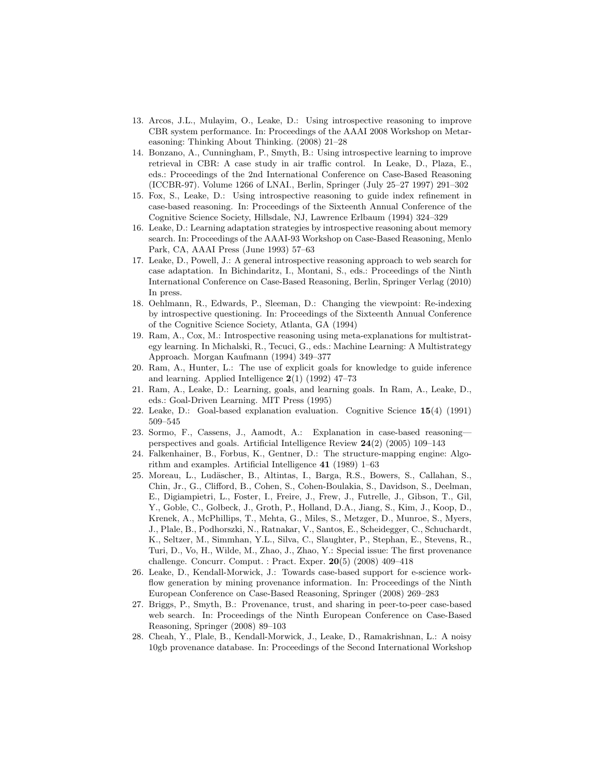- 13. Arcos, J.L., Mulayim, O., Leake, D.: Using introspective reasoning to improve CBR system performance. In: Proceedings of the AAAI 2008 Workshop on Metareasoning: Thinking About Thinking. (2008) 21–28
- 14. Bonzano, A., Cunningham, P., Smyth, B.: Using introspective learning to improve retrieval in CBR: A case study in air traffic control. In Leake, D., Plaza, E., eds.: Proceedings of the 2nd International Conference on Case-Based Reasoning (ICCBR-97). Volume 1266 of LNAI., Berlin, Springer (July 25–27 1997) 291–302
- 15. Fox, S., Leake, D.: Using introspective reasoning to guide index refinement in case-based reasoning. In: Proceedings of the Sixteenth Annual Conference of the Cognitive Science Society, Hillsdale, NJ, Lawrence Erlbaum (1994) 324–329
- 16. Leake, D.: Learning adaptation strategies by introspective reasoning about memory search. In: Proceedings of the AAAI-93 Workshop on Case-Based Reasoning, Menlo Park, CA, AAAI Press (June 1993) 57–63
- 17. Leake, D., Powell, J.: A general introspective reasoning approach to web search for case adaptation. In Bichindaritz, I., Montani, S., eds.: Proceedings of the Ninth International Conference on Case-Based Reasoning, Berlin, Springer Verlag (2010) In press.
- 18. Oehlmann, R., Edwards, P., Sleeman, D.: Changing the viewpoint: Re-indexing by introspective questioning. In: Proceedings of the Sixteenth Annual Conference of the Cognitive Science Society, Atlanta, GA (1994)
- 19. Ram, A., Cox, M.: Introspective reasoning using meta-explanations for multistrategy learning. In Michalski, R., Tecuci, G., eds.: Machine Learning: A Multistrategy Approach. Morgan Kaufmann (1994) 349–377
- 20. Ram, A., Hunter, L.: The use of explicit goals for knowledge to guide inference and learning. Applied Intelligence  $2(1)$  (1992) 47–73
- 21. Ram, A., Leake, D.: Learning, goals, and learning goals. In Ram, A., Leake, D., eds.: Goal-Driven Learning. MIT Press (1995)
- 22. Leake, D.: Goal-based explanation evaluation. Cognitive Science 15(4) (1991) 509–545
- 23. Sormo, F., Cassens, J., Aamodt, A.: Explanation in case-based reasoning perspectives and goals. Artificial Intelligence Review 24(2) (2005) 109–143
- 24. Falkenhainer, B., Forbus, K., Gentner, D.: The structure-mapping engine: Algorithm and examples. Artificial Intelligence 41 (1989) 1–63
- 25. Moreau, L., Lud¨ascher, B., Altintas, I., Barga, R.S., Bowers, S., Callahan, S., Chin, Jr., G., Clifford, B., Cohen, S., Cohen-Boulakia, S., Davidson, S., Deelman, E., Digiampietri, L., Foster, I., Freire, J., Frew, J., Futrelle, J., Gibson, T., Gil, Y., Goble, C., Golbeck, J., Groth, P., Holland, D.A., Jiang, S., Kim, J., Koop, D., Krenek, A., McPhillips, T., Mehta, G., Miles, S., Metzger, D., Munroe, S., Myers, J., Plale, B., Podhorszki, N., Ratnakar, V., Santos, E., Scheidegger, C., Schuchardt, K., Seltzer, M., Simmhan, Y.L., Silva, C., Slaughter, P., Stephan, E., Stevens, R., Turi, D., Vo, H., Wilde, M., Zhao, J., Zhao, Y.: Special issue: The first provenance challenge. Concurr. Comput. : Pract. Exper. 20(5) (2008) 409–418
- 26. Leake, D., Kendall-Morwick, J.: Towards case-based support for e-science workflow generation by mining provenance information. In: Proceedings of the Ninth European Conference on Case-Based Reasoning, Springer (2008) 269–283
- 27. Briggs, P., Smyth, B.: Provenance, trust, and sharing in peer-to-peer case-based web search. In: Proceedings of the Ninth European Conference on Case-Based Reasoning, Springer (2008) 89–103
- 28. Cheah, Y., Plale, B., Kendall-Morwick, J., Leake, D., Ramakrishnan, L.: A noisy 10gb provenance database. In: Proceedings of the Second International Workshop